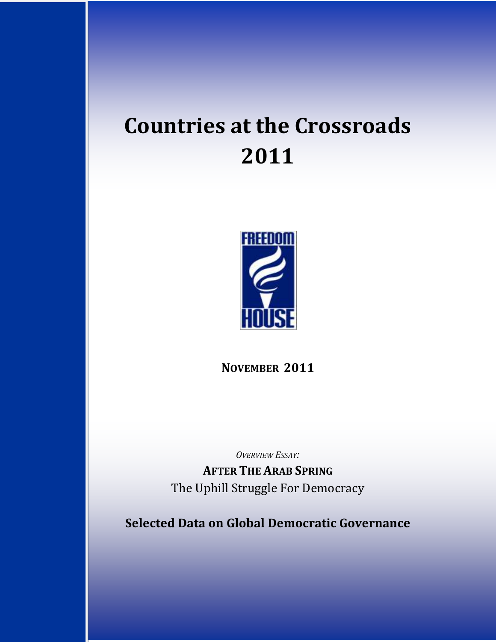# **Countries at the Crossroads 2011**



**NOVEMBER 2011**

*OVERVIEW ESSAY:*

**AFTER THE ARAB SPRING** The Uphill Struggle For Democracy

**Selected Data on Global Democratic Governance**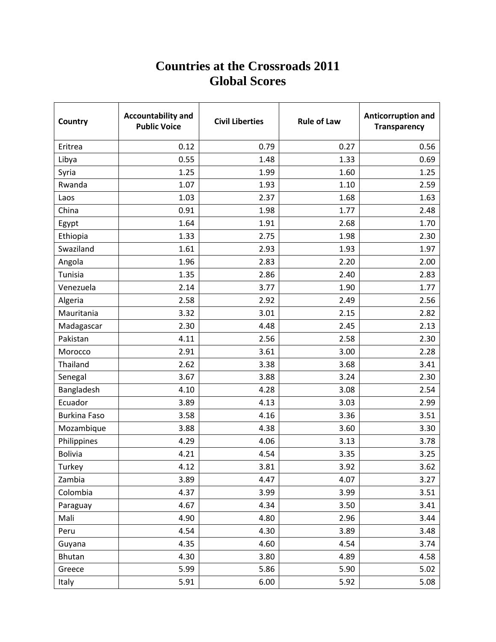# **Countries at the Crossroads 2011 Global Scores**

| Country             | <b>Accountability and</b><br><b>Public Voice</b> | <b>Civil Liberties</b> | <b>Rule of Law</b> | Anticorruption and<br><b>Transparency</b> |
|---------------------|--------------------------------------------------|------------------------|--------------------|-------------------------------------------|
| Eritrea             | 0.12                                             | 0.79                   | 0.27               | 0.56                                      |
| Libya               | 0.55                                             | 1.48                   | 1.33               | 0.69                                      |
| Syria               | 1.25                                             | 1.99                   | 1.60               | 1.25                                      |
| Rwanda              | 1.07                                             | 1.93                   | 1.10               | 2.59                                      |
| Laos                | 1.03                                             | 2.37                   | 1.68               | 1.63                                      |
| China               | 0.91                                             | 1.98                   | 1.77               | 2.48                                      |
| Egypt               | 1.64                                             | 1.91                   | 2.68               | 1.70                                      |
| Ethiopia            | 1.33                                             | 2.75                   | 1.98               | 2.30                                      |
| Swaziland           | 1.61                                             | 2.93                   | 1.93               | 1.97                                      |
| Angola              | 1.96                                             | 2.83                   | 2.20               | 2.00                                      |
| Tunisia             | 1.35                                             | 2.86                   | 2.40               | 2.83                                      |
| Venezuela           | 2.14                                             | 3.77                   | 1.90               | 1.77                                      |
| Algeria             | 2.58                                             | 2.92                   | 2.49               | 2.56                                      |
| Mauritania          | 3.32                                             | 3.01                   | 2.15               | 2.82                                      |
| Madagascar          | 2.30                                             | 4.48                   | 2.45               | 2.13                                      |
| Pakistan            | 4.11                                             | 2.56                   | 2.58               | 2.30                                      |
| Morocco             | 2.91                                             | 3.61                   | 3.00               | 2.28                                      |
| Thailand            | 2.62                                             | 3.38                   | 3.68               | 3.41                                      |
| Senegal             | 3.67                                             | 3.88                   | 3.24               | 2.30                                      |
| Bangladesh          | 4.10                                             | 4.28                   | 3.08               | 2.54                                      |
| Ecuador             | 3.89                                             | 4.13                   | 3.03               | 2.99                                      |
| <b>Burkina Faso</b> | 3.58                                             | 4.16                   | 3.36               | 3.51                                      |
| Mozambique          | 3.88                                             | 4.38                   | 3.60               | 3.30                                      |
| Philippines         | 4.29                                             | 4.06                   | 3.13               | 3.78                                      |
| <b>Bolivia</b>      | 4.21                                             | 4.54                   | 3.35               | 3.25                                      |
| Turkey              | 4.12                                             | 3.81                   | 3.92               | 3.62                                      |
| Zambia              | 3.89                                             | 4.47                   | 4.07               | 3.27                                      |
| Colombia            | 4.37                                             | 3.99                   | 3.99               | 3.51                                      |
| Paraguay            | 4.67                                             | 4.34                   | 3.50               | 3.41                                      |
| Mali                | 4.90                                             | 4.80                   | 2.96               | 3.44                                      |
| Peru                | 4.54                                             | 4.30                   | 3.89               | 3.48                                      |
| Guyana              | 4.35                                             | 4.60                   | 4.54               | 3.74                                      |
| <b>Bhutan</b>       | 4.30                                             | 3.80                   | 4.89               | 4.58                                      |
| Greece              | 5.99                                             | 5.86                   | 5.90               | 5.02                                      |
| Italy               | 5.91                                             | 6.00                   | 5.92               | 5.08                                      |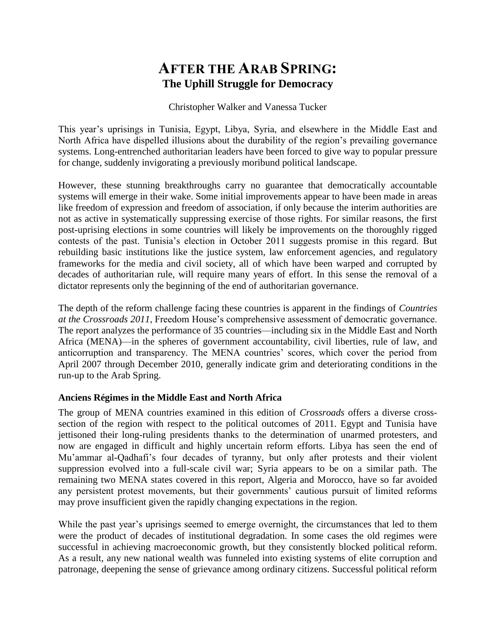# **AFTER THE ARAB SPRING: The Uphill Struggle for Democracy**

Christopher Walker and Vanessa Tucker

This year's uprisings in Tunisia, Egypt, Libya, Syria, and elsewhere in the Middle East and North Africa have dispelled illusions about the durability of the region's prevailing governance systems. Long-entrenched authoritarian leaders have been forced to give way to popular pressure for change, suddenly invigorating a previously moribund political landscape.

However, these stunning breakthroughs carry no guarantee that democratically accountable systems will emerge in their wake. Some initial improvements appear to have been made in areas like freedom of expression and freedom of association, if only because the interim authorities are not as active in systematically suppressing exercise of those rights. For similar reasons, the first post-uprising elections in some countries will likely be improvements on the thoroughly rigged contests of the past. Tunisia's election in October 2011 suggests promise in this regard. But rebuilding basic institutions like the justice system, law enforcement agencies, and regulatory frameworks for the media and civil society, all of which have been warped and corrupted by decades of authoritarian rule, will require many years of effort. In this sense the removal of a dictator represents only the beginning of the end of authoritarian governance.

The depth of the reform challenge facing these countries is apparent in the findings of *Countries at the Crossroads 2011*, Freedom House's comprehensive assessment of democratic governance. The report analyzes the performance of 35 countries—including six in the Middle East and North Africa (MENA)—in the spheres of government accountability, civil liberties, rule of law, and anticorruption and transparency. The MENA countries' scores, which cover the period from April 2007 through December 2010, generally indicate grim and deteriorating conditions in the run-up to the Arab Spring.

#### **Anciens Régimes in the Middle East and North Africa**

The group of MENA countries examined in this edition of *Crossroads* offers a diverse crosssection of the region with respect to the political outcomes of 2011. Egypt and Tunisia have jettisoned their long-ruling presidents thanks to the determination of unarmed protesters, and now are engaged in difficult and highly uncertain reform efforts. Libya has seen the end of Mu'ammar al-Qadhafi's four decades of tyranny, but only after protests and their violent suppression evolved into a full-scale civil war; Syria appears to be on a similar path. The remaining two MENA states covered in this report, Algeria and Morocco, have so far avoided any persistent protest movements, but their governments' cautious pursuit of limited reforms may prove insufficient given the rapidly changing expectations in the region.

While the past year's uprisings seemed to emerge overnight, the circumstances that led to them were the product of decades of institutional degradation. In some cases the old regimes were successful in achieving macroeconomic growth, but they consistently blocked political reform. As a result, any new national wealth was funneled into existing systems of elite corruption and patronage, deepening the sense of grievance among ordinary citizens. Successful political reform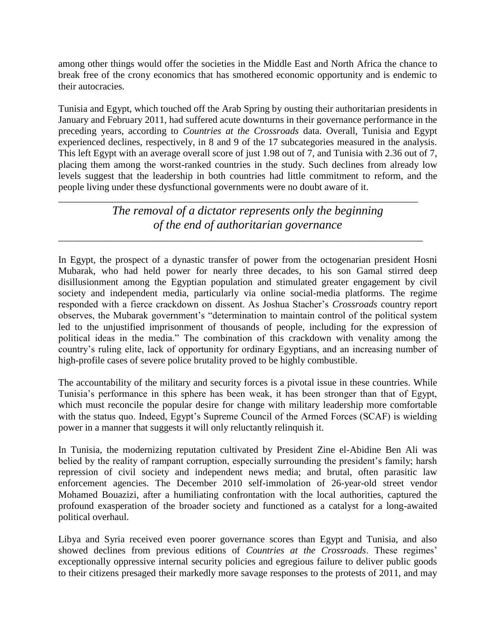among other things would offer the societies in the Middle East and North Africa the chance to break free of the crony economics that has smothered economic opportunity and is endemic to their autocracies.

Tunisia and Egypt, which touched off the Arab Spring by ousting their authoritarian presidents in January and February 2011, had suffered acute downturns in their governance performance in the preceding years, according to *Countries at the Crossroads* data. Overall, Tunisia and Egypt experienced declines, respectively, in 8 and 9 of the 17 subcategories measured in the analysis. This left Egypt with an average overall score of just 1.98 out of 7, and Tunisia with 2.36 out of 7, placing them among the worst-ranked countries in the study. Such declines from already low levels suggest that the leadership in both countries had little commitment to reform, and the people living under these dysfunctional governments were no doubt aware of it.

> *The removal of a dictator represents only the beginning of the end of authoritarian governance*

\_\_\_\_\_\_\_\_\_\_\_\_\_\_\_\_\_\_\_\_\_\_\_\_\_\_\_\_\_\_\_\_\_\_\_\_\_\_\_\_\_\_\_\_\_\_\_\_\_\_\_\_\_\_\_\_\_\_\_\_\_\_\_\_\_\_\_\_\_\_\_\_\_\_

\_\_\_\_\_\_\_\_\_\_\_\_\_\_\_\_\_\_\_\_\_\_\_\_\_\_\_\_\_\_\_\_\_\_\_\_\_\_\_\_\_\_\_\_\_\_\_\_\_\_\_\_\_\_\_\_\_\_\_\_\_\_\_\_\_\_\_\_\_\_\_\_\_\_\_

In Egypt, the prospect of a dynastic transfer of power from the octogenarian president Hosni Mubarak, who had held power for nearly three decades, to his son Gamal stirred deep disillusionment among the Egyptian population and stimulated greater engagement by civil society and independent media, particularly via online social-media platforms. The regime responded with a fierce crackdown on dissent. As Joshua Stacher's *Crossroads* country report observes, the Mubarak government's "determination to maintain control of the political system led to the unjustified imprisonment of thousands of people, including for the expression of political ideas in the media." The combination of this crackdown with venality among the country's ruling elite, lack of opportunity for ordinary Egyptians, and an increasing number of high-profile cases of severe police brutality proved to be highly combustible.

The accountability of the military and security forces is a pivotal issue in these countries. While Tunisia's performance in this sphere has been weak, it has been stronger than that of Egypt, which must reconcile the popular desire for change with military leadership more comfortable with the status quo. Indeed, Egypt's Supreme Council of the Armed Forces (SCAF) is wielding power in a manner that suggests it will only reluctantly relinquish it.

In Tunisia, the modernizing reputation cultivated by President Zine el-Abidine Ben Ali was belied by the reality of rampant corruption, especially surrounding the president's family; harsh repression of civil society and independent news media; and brutal, often parasitic law enforcement agencies. The December 2010 self-immolation of 26-year-old street vendor Mohamed Bouazizi, after a humiliating confrontation with the local authorities, captured the profound exasperation of the broader society and functioned as a catalyst for a long-awaited political overhaul.

Libya and Syria received even poorer governance scores than Egypt and Tunisia, and also showed declines from previous editions of *Countries at the Crossroads*. These regimes' exceptionally oppressive internal security policies and egregious failure to deliver public goods to their citizens presaged their markedly more savage responses to the protests of 2011, and may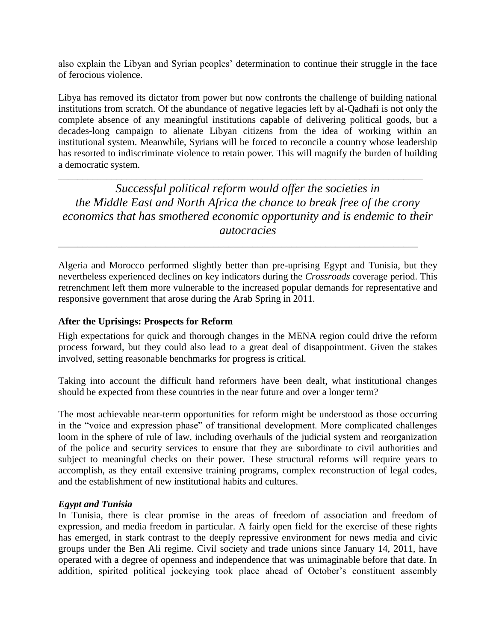also explain the Libyan and Syrian peoples' determination to continue their struggle in the face of ferocious violence.

Libya has removed its dictator from power but now confronts the challenge of building national institutions from scratch. Of the abundance of negative legacies left by al-Qadhafi is not only the complete absence of any meaningful institutions capable of delivering political goods, but a decades-long campaign to alienate Libyan citizens from the idea of working within an institutional system. Meanwhile, Syrians will be forced to reconcile a country whose leadership has resorted to indiscriminate violence to retain power. This will magnify the burden of building a democratic system.

*Successful political reform would offer the societies in the Middle East and North Africa the chance to break free of the crony economics that has smothered economic opportunity and is endemic to their autocracies*

\_\_\_\_\_\_\_\_\_\_\_\_\_\_\_\_\_\_\_\_\_\_\_\_\_\_\_\_\_\_\_\_\_\_\_\_\_\_\_\_\_\_\_\_\_\_\_\_\_\_\_\_\_\_\_\_\_\_\_\_\_\_\_\_\_\_\_\_\_\_\_\_\_\_\_

\_\_\_\_\_\_\_\_\_\_\_\_\_\_\_\_\_\_\_\_\_\_\_\_\_\_\_\_\_\_\_\_\_\_\_\_\_\_\_\_\_\_\_\_\_\_\_\_\_\_\_\_\_\_\_\_\_\_\_\_\_\_\_\_\_\_\_\_\_\_\_\_\_\_

Algeria and Morocco performed slightly better than pre-uprising Egypt and Tunisia, but they nevertheless experienced declines on key indicators during the *Crossroads* coverage period. This retrenchment left them more vulnerable to the increased popular demands for representative and responsive government that arose during the Arab Spring in 2011.

#### **After the Uprisings: Prospects for Reform**

High expectations for quick and thorough changes in the MENA region could drive the reform process forward, but they could also lead to a great deal of disappointment. Given the stakes involved, setting reasonable benchmarks for progress is critical.

Taking into account the difficult hand reformers have been dealt, what institutional changes should be expected from these countries in the near future and over a longer term?

The most achievable near-term opportunities for reform might be understood as those occurring in the "voice and expression phase" of transitional development. More complicated challenges loom in the sphere of rule of law, including overhauls of the judicial system and reorganization of the police and security services to ensure that they are subordinate to civil authorities and subject to meaningful checks on their power. These structural reforms will require years to accomplish, as they entail extensive training programs, complex reconstruction of legal codes, and the establishment of new institutional habits and cultures.

#### *Egypt and Tunisia*

In Tunisia, there is clear promise in the areas of freedom of association and freedom of expression, and media freedom in particular. A fairly open field for the exercise of these rights has emerged, in stark contrast to the deeply repressive environment for news media and civic groups under the Ben Ali regime. Civil society and trade unions since January 14, 2011, have operated with a degree of openness and independence that was unimaginable before that date. In addition, spirited political jockeying took place ahead of October's constituent assembly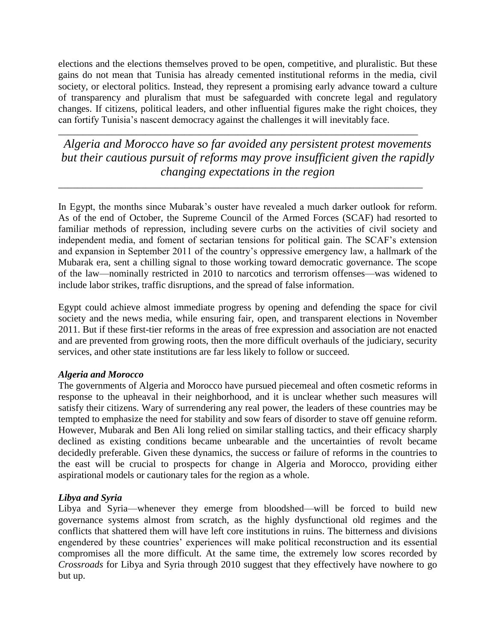elections and the elections themselves proved to be open, competitive, and pluralistic. But these gains do not mean that Tunisia has already cemented institutional reforms in the media, civil society, or electoral politics. Instead, they represent a promising early advance toward a culture of transparency and pluralism that must be safeguarded with concrete legal and regulatory changes. If citizens, political leaders, and other influential figures make the right choices, they can fortify Tunisia's nascent democracy against the challenges it will inevitably face.

*Algeria and Morocco have so far avoided any persistent protest movements but their cautious pursuit of reforms may prove insufficient given the rapidly changing expectations in the region*

\_\_\_\_\_\_\_\_\_\_\_\_\_\_\_\_\_\_\_\_\_\_\_\_\_\_\_\_\_\_\_\_\_\_\_\_\_\_\_\_\_\_\_\_\_\_\_\_\_\_\_\_\_\_\_\_\_\_\_\_\_\_\_\_\_\_\_\_\_\_\_\_\_\_\_

\_\_\_\_\_\_\_\_\_\_\_\_\_\_\_\_\_\_\_\_\_\_\_\_\_\_\_\_\_\_\_\_\_\_\_\_\_\_\_\_\_\_\_\_\_\_\_\_\_\_\_\_\_\_\_\_\_\_\_\_\_\_\_\_\_\_\_\_\_\_\_\_\_\_

In Egypt, the months since Mubarak's ouster have revealed a much darker outlook for reform. As of the end of October, the Supreme Council of the Armed Forces (SCAF) had resorted to familiar methods of repression, including severe curbs on the activities of civil society and independent media, and foment of sectarian tensions for political gain. The SCAF's extension and expansion in September 2011 of the country's oppressive emergency law, a hallmark of the Mubarak era, sent a chilling signal to those working toward democratic governance. The scope of the law—nominally restricted in 2010 to narcotics and terrorism offenses—was widened to include labor strikes, traffic disruptions, and the spread of false information.

Egypt could achieve almost immediate progress by opening and defending the space for civil society and the news media, while ensuring fair, open, and transparent elections in November 2011. But if these first-tier reforms in the areas of free expression and association are not enacted and are prevented from growing roots, then the more difficult overhauls of the judiciary, security services, and other state institutions are far less likely to follow or succeed.

#### *Algeria and Morocco*

The governments of Algeria and Morocco have pursued piecemeal and often cosmetic reforms in response to the upheaval in their neighborhood, and it is unclear whether such measures will satisfy their citizens. Wary of surrendering any real power, the leaders of these countries may be tempted to emphasize the need for stability and sow fears of disorder to stave off genuine reform. However, Mubarak and Ben Ali long relied on similar stalling tactics, and their efficacy sharply declined as existing conditions became unbearable and the uncertainties of revolt became decidedly preferable. Given these dynamics, the success or failure of reforms in the countries to the east will be crucial to prospects for change in Algeria and Morocco, providing either aspirational models or cautionary tales for the region as a whole.

# *Libya and Syria*

Libya and Syria—whenever they emerge from bloodshed—will be forced to build new governance systems almost from scratch, as the highly dysfunctional old regimes and the conflicts that shattered them will have left core institutions in ruins. The bitterness and divisions engendered by these countries' experiences will make political reconstruction and its essential compromises all the more difficult. At the same time, the extremely low scores recorded by *Crossroads* for Libya and Syria through 2010 suggest that they effectively have nowhere to go but up.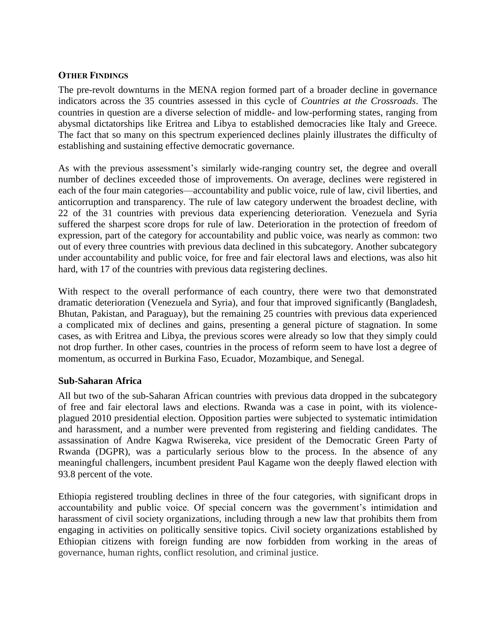#### **OTHER FINDINGS**

The pre-revolt downturns in the MENA region formed part of a broader decline in governance indicators across the 35 countries assessed in this cycle of *Countries at the Crossroads*. The countries in question are a diverse selection of middle- and low-performing states, ranging from abysmal dictatorships like Eritrea and Libya to established democracies like Italy and Greece. The fact that so many on this spectrum experienced declines plainly illustrates the difficulty of establishing and sustaining effective democratic governance.

As with the previous assessment's similarly wide-ranging country set, the degree and overall number of declines exceeded those of improvements. On average, declines were registered in each of the four main categories—accountability and public voice, rule of law, civil liberties, and anticorruption and transparency. The rule of law category underwent the broadest decline, with 22 of the 31 countries with previous data experiencing deterioration. Venezuela and Syria suffered the sharpest score drops for rule of law. Deterioration in the protection of freedom of expression, part of the category for accountability and public voice, was nearly as common: two out of every three countries with previous data declined in this subcategory. Another subcategory under accountability and public voice, for free and fair electoral laws and elections, was also hit hard, with 17 of the countries with previous data registering declines.

With respect to the overall performance of each country, there were two that demonstrated dramatic deterioration (Venezuela and Syria), and four that improved significantly (Bangladesh, Bhutan, Pakistan, and Paraguay), but the remaining 25 countries with previous data experienced a complicated mix of declines and gains, presenting a general picture of stagnation. In some cases, as with Eritrea and Libya, the previous scores were already so low that they simply could not drop further. In other cases, countries in the process of reform seem to have lost a degree of momentum, as occurred in Burkina Faso, Ecuador, Mozambique, and Senegal.

#### **Sub-Saharan Africa**

All but two of the sub-Saharan African countries with previous data dropped in the subcategory of free and fair electoral laws and elections. Rwanda was a case in point, with its violenceplagued 2010 presidential election. Opposition parties were subjected to systematic intimidation and harassment, and a number were prevented from registering and fielding candidates. The assassination of Andre Kagwa Rwisereka, vice president of the Democratic Green Party of Rwanda (DGPR), was a particularly serious blow to the process. In the absence of any meaningful challengers, incumbent president Paul Kagame won the deeply flawed election with 93.8 percent of the vote.

Ethiopia registered troubling declines in three of the four categories, with significant drops in accountability and public voice. Of special concern was the government's intimidation and harassment of civil society organizations, including through a new law that prohibits them from engaging in activities on politically sensitive topics. Civil society organizations established by Ethiopian citizens with foreign funding are now forbidden from working in the areas of governance, human rights, conflict resolution, and criminal justice.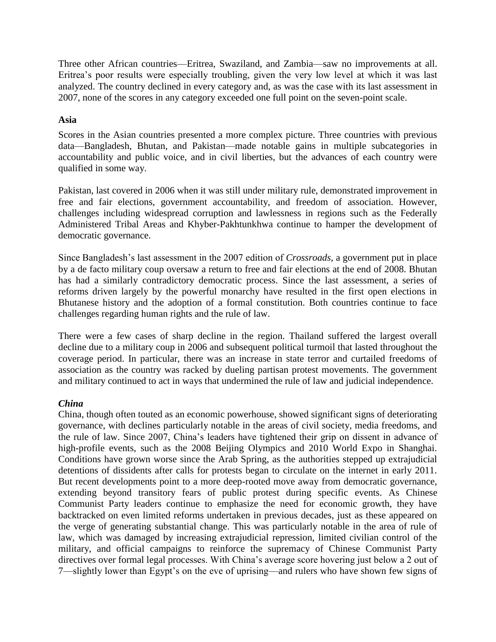Three other African countries—Eritrea, Swaziland, and Zambia—saw no improvements at all. Eritrea's poor results were especially troubling, given the very low level at which it was last analyzed. The country declined in every category and, as was the case with its last assessment in 2007, none of the scores in any category exceeded one full point on the seven-point scale.

### **Asia**

Scores in the Asian countries presented a more complex picture. Three countries with previous data—Bangladesh, Bhutan, and Pakistan—made notable gains in multiple subcategories in accountability and public voice, and in civil liberties, but the advances of each country were qualified in some way.

Pakistan, last covered in 2006 when it was still under military rule, demonstrated improvement in free and fair elections, government accountability, and freedom of association. However, challenges including widespread corruption and lawlessness in regions such as the Federally Administered Tribal Areas and Khyber-Pakhtunkhwa continue to hamper the development of democratic governance.

Since Bangladesh's last assessment in the 2007 edition of *Crossroads*, a government put in place by a de facto military coup oversaw a return to free and fair elections at the end of 2008. Bhutan has had a similarly contradictory democratic process. Since the last assessment, a series of reforms driven largely by the powerful monarchy have resulted in the first open elections in Bhutanese history and the adoption of a formal constitution. Both countries continue to face challenges regarding human rights and the rule of law.

There were a few cases of sharp decline in the region. Thailand suffered the largest overall decline due to a military coup in 2006 and subsequent political turmoil that lasted throughout the coverage period. In particular, there was an increase in state terror and curtailed freedoms of association as the country was racked by dueling partisan protest movements. The government and military continued to act in ways that undermined the rule of law and judicial independence.

# *China*

China, though often touted as an economic powerhouse, showed significant signs of deteriorating governance, with declines particularly notable in the areas of civil society, media freedoms, and the rule of law. Since 2007, China's leaders have tightened their grip on dissent in advance of high-profile events, such as the 2008 Beijing Olympics and 2010 World Expo in Shanghai. Conditions have grown worse since the Arab Spring, as the authorities stepped up extrajudicial detentions of dissidents after calls for protests began to circulate on the internet in early 2011. But recent developments point to a more deep-rooted move away from democratic governance, extending beyond transitory fears of public protest during specific events. As Chinese Communist Party leaders continue to emphasize the need for economic growth, they have backtracked on even limited reforms undertaken in previous decades, just as these appeared on the verge of generating substantial change. This was particularly notable in the area of rule of law, which was damaged by increasing extrajudicial repression, limited civilian control of the military, and official campaigns to reinforce the supremacy of Chinese Communist Party directives over formal legal processes. With China's average score hovering just below a 2 out of 7—slightly lower than Egypt's on the eve of uprising—and rulers who have shown few signs of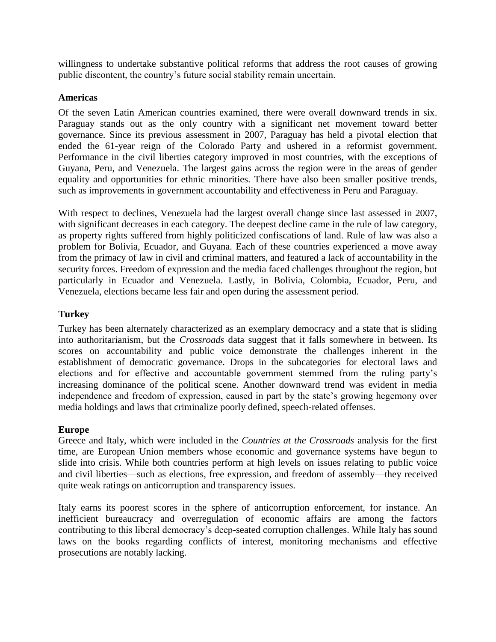willingness to undertake substantive political reforms that address the root causes of growing public discontent, the country's future social stability remain uncertain.

#### **Americas**

Of the seven Latin American countries examined, there were overall downward trends in six. Paraguay stands out as the only country with a significant net movement toward better governance. Since its previous assessment in 2007, Paraguay has held a pivotal election that ended the 61-year reign of the Colorado Party and ushered in a reformist government. Performance in the civil liberties category improved in most countries, with the exceptions of Guyana, Peru, and Venezuela. The largest gains across the region were in the areas of gender equality and opportunities for ethnic minorities. There have also been smaller positive trends, such as improvements in government accountability and effectiveness in Peru and Paraguay.

With respect to declines, Venezuela had the largest overall change since last assessed in 2007, with significant decreases in each category. The deepest decline came in the rule of law category, as property rights suffered from highly politicized confiscations of land. Rule of law was also a problem for Bolivia, Ecuador, and Guyana. Each of these countries experienced a move away from the primacy of law in civil and criminal matters, and featured a lack of accountability in the security forces. Freedom of expression and the media faced challenges throughout the region, but particularly in Ecuador and Venezuela. Lastly, in Bolivia, Colombia, Ecuador, Peru, and Venezuela, elections became less fair and open during the assessment period.

# **Turkey**

Turkey has been alternately characterized as an exemplary democracy and a state that is sliding into authoritarianism, but the *Crossroads* data suggest that it falls somewhere in between. Its scores on accountability and public voice demonstrate the challenges inherent in the establishment of democratic governance. Drops in the subcategories for electoral laws and elections and for effective and accountable government stemmed from the ruling party's increasing dominance of the political scene. Another downward trend was evident in media independence and freedom of expression, caused in part by the state's growing hegemony over media holdings and laws that criminalize poorly defined, speech-related offenses.

#### **Europe**

Greece and Italy, which were included in the *Countries at the Crossroads* analysis for the first time, are European Union members whose economic and governance systems have begun to slide into crisis. While both countries perform at high levels on issues relating to public voice and civil liberties—such as elections, free expression, and freedom of assembly—they received quite weak ratings on anticorruption and transparency issues.

Italy earns its poorest scores in the sphere of anticorruption enforcement, for instance. An inefficient bureaucracy and overregulation of economic affairs are among the factors contributing to this liberal democracy's deep-seated corruption challenges. While Italy has sound laws on the books regarding conflicts of interest, monitoring mechanisms and effective prosecutions are notably lacking.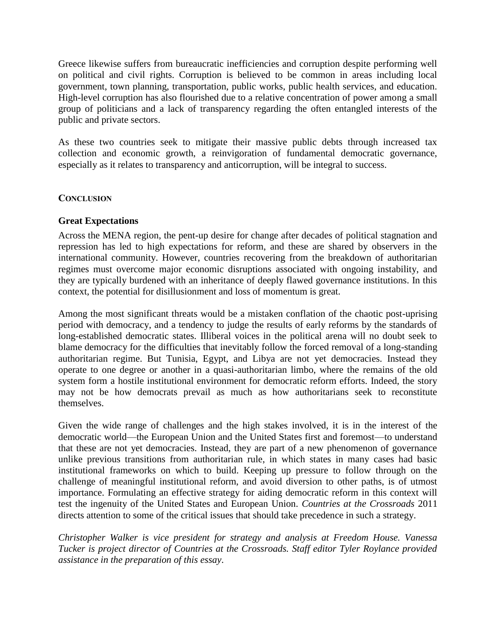Greece likewise suffers from bureaucratic inefficiencies and corruption despite performing well on political and civil rights. Corruption is believed to be common in areas including local government, town planning, transportation, public works, public health services, and education. High-level corruption has also flourished due to a relative concentration of power among a small group of politicians and a lack of transparency regarding the often entangled interests of the public and private sectors.

As these two countries seek to mitigate their massive public debts through increased tax collection and economic growth, a reinvigoration of fundamental democratic governance, especially as it relates to transparency and anticorruption, will be integral to success.

#### **CONCLUSION**

#### **Great Expectations**

Across the MENA region, the pent-up desire for change after decades of political stagnation and repression has led to high expectations for reform, and these are shared by observers in the international community. However, countries recovering from the breakdown of authoritarian regimes must overcome major economic disruptions associated with ongoing instability, and they are typically burdened with an inheritance of deeply flawed governance institutions. In this context, the potential for disillusionment and loss of momentum is great.

Among the most significant threats would be a mistaken conflation of the chaotic post-uprising period with democracy, and a tendency to judge the results of early reforms by the standards of long-established democratic states. Illiberal voices in the political arena will no doubt seek to blame democracy for the difficulties that inevitably follow the forced removal of a long-standing authoritarian regime. But Tunisia, Egypt, and Libya are not yet democracies. Instead they operate to one degree or another in a quasi-authoritarian limbo, where the remains of the old system form a hostile institutional environment for democratic reform efforts. Indeed, the story may not be how democrats prevail as much as how authoritarians seek to reconstitute themselves.

Given the wide range of challenges and the high stakes involved, it is in the interest of the democratic world—the European Union and the United States first and foremost—to understand that these are not yet democracies. Instead, they are part of a new phenomenon of governance unlike previous transitions from authoritarian rule, in which states in many cases had basic institutional frameworks on which to build. Keeping up pressure to follow through on the challenge of meaningful institutional reform, and avoid diversion to other paths, is of utmost importance. Formulating an effective strategy for aiding democratic reform in this context will test the ingenuity of the United States and European Union. *Countries at the Crossroads* 2011 directs attention to some of the critical issues that should take precedence in such a strategy.

*Christopher Walker is vice president for strategy and analysis at Freedom House. Vanessa Tucker is project director of Countries at the Crossroads. Staff editor Tyler Roylance provided assistance in the preparation of this essay*.